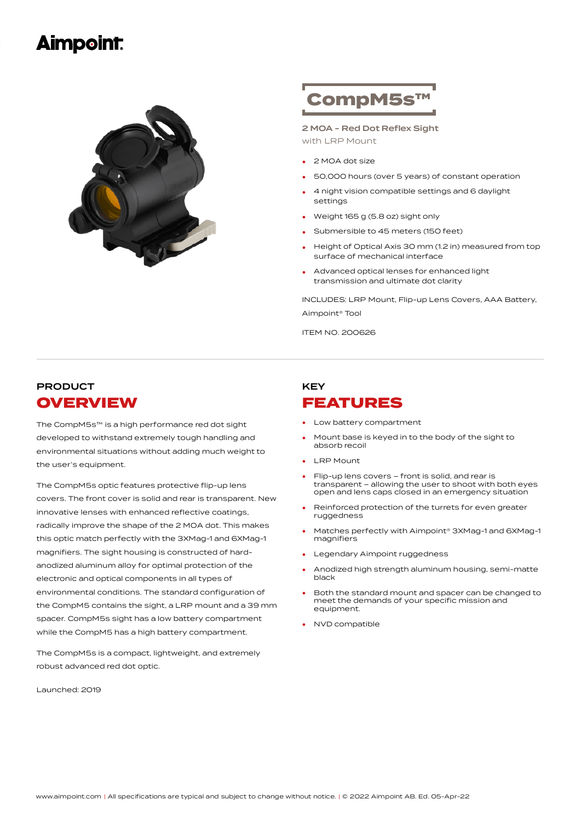# **Aimpoint**



# CompM5s™

2 MOA - Red Dot Reflex Sight with LRP Mount

- <sup>2</sup> MOA dot size
- 50,000 hours (over <sup>5</sup> years) of constant operation
- 4 night vision compatible settings and 6 daylight settings •
- Weight <sup>165</sup> <sup>g</sup> (5.8 oz) sight only
- Submersible to 45 meters (150 feet)
- Height of Optical Axis 30 mm (1.2 in) measured from top surface of mechanical interface •
- Advanced optical lenses for enhanced light transmission and ultimate dot clarity •

INCLUDES: LRP Mount, Flip-up Lens Covers, AAA Battery, Aimpoint® Tool

ITEM NO. 200626

## PRODUCT **OVERVIEW**

The CompM5s™ is a high performance red dot sight developed to withstand extremely tough handling and environmental situations without adding much weight to the user's equipment.

The CompM5s optic features protective flip-up lens covers. The front cover is solid and rear is transparent. New innovative lenses with enhanced reflective coatings, radically improve the shape of the 2 MOA dot. This makes this optic match perfectly with the 3XMag-1 and 6XMag-1 magnifiers. The sight housing is constructed of hardanodized aluminum alloy for optimal protection of the electronic and optical components in all types of environmental conditions. The standard configuration of the CompM5 contains the sight, a LRP mount and a 39 mm spacer. CompM5s sight has a low battery compartment while the CompM5 has a high battery compartment.

The CompM5s is a compact, lightweight, and extremely robust advanced red dot optic.

Launched: 2019

## **KEY** FEATURES

- Low battery compartment
- Mount base is keyed in to the body of the sight to absorb recoil •
- **LRP** Mount
- Flip-up lens covers front is solid, and rear is transparent – allowing the user to shoot with both eyes open and lens caps closed in an emergency situation •
- Reinforced protection of the turrets for even greater ruggedness •
- Matches perfectly with Aimpoint® 3XMag-1 and 6XMag-1 magnifiers •
- Legendary Aimpoint ruggedness
- Anodized high strength aluminum housing, semi-matte black •
- Both the standard mount and spacer can be changed to meet the demands of your specific mission and equipment. •
- NVD compatible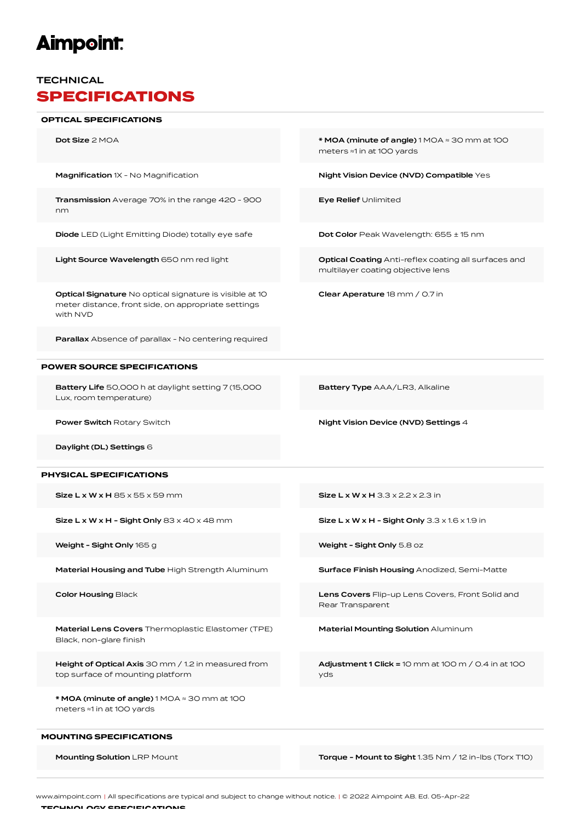# **Aimpoint:**

### **TECHNICAL** SPECIFICATIONS

#### OPTICAL SPECIFICATIONS

Dot Size 2 MOA \* MOA (minute of angle) 1 MOA ≈ 30 mm at 100

Magnification 1X - No Magnification Night Vision Device (NVD) Compatible Yes

Transmission Average 70% in the range 420 - 900 nm

Diode LED (Light Emitting Diode) totally eye safe Dot Color Peak Wavelength: 655 ± 15 nm

Light Source Wavelength 650 nm red light **Canadian Coating Anti-reflex coating all surfaces and** 

Optical Signature No optical signature is visible at 10 meter distance, front side, on appropriate settings with NVD

Parallax Absence of parallax - No centering required

### POWER SOURCE SPECIFICATIONS

Battery Life 50,000 h at daylight setting 7 (15,000 Lux, room temperature)

Battery Type AAA/LR3, Alkaline

multilayer coating objective lens

Clear Aperature 18 mm / 0.7 in

meters ≈1 in at 100 yards

Eye Relief Unlimited

Power Switch Rotary Switch **Night Vision Device (NVD) Settings 4** 

Daylight (DL) Settings 6

### PHYSICAL SPECIFICATIONS

 $Size L x W x H - Sight Only 83 x 40 x 48 mm$  Size L x W x H - Sight Only 3.3 x 1.6 x 1.9 in

Weight - Sight Only 165 g Weight - Sight Only 5.8 oz

Material Housing and Tube High Strength Aluminum Surface Finish Housing Anodized, Semi-Matte

Material Lens Covers Thermoplastic Elastomer (TPE) Black, non-glare finish

Height of Optical Axis 30 mm / 1.2 in measured from top surface of mounting platform

\* MOA (minute of angle) 1 MOA ≈ 30 mm at 100 meters ≈1 in at 100 yards

#### MOUNTING SPECIFICATIONS

 $Size L x W x H 85 x 55 x 59 mm$  Size L x W x H 3.3 x 2.2 x 2.3 in

Color Housing Black Lens Covers Flip-up Lens Covers, Front Solid and Rear Transparent

Material Mounting Solution Aluminum

Adjustment 1 Click = 10 mm at 100 m / 0.4 in at 100 yds

Mounting Solution LRP Mount Torque - Mount to Sight 1.35 Nm / 12 in-lbs (Torx T10)

TECHNOLOGY SPECIFICATIONS www.aimpoint.com | All specifications are typical and subject to change without notice. | © 2022 Aimpoint AB. Ed. 05-Apr-22